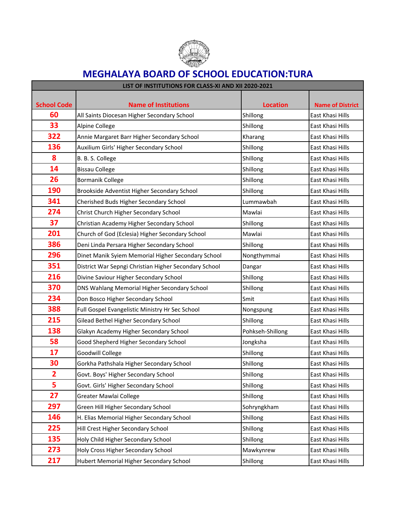

## **MEGHALAYA BOARD OF SCHOOL EDUCATION:TURA**

| LIST OF INSTITUTIONS FOR CLASS-XI AND XII 2020-2021 |                                                       |                  |                         |
|-----------------------------------------------------|-------------------------------------------------------|------------------|-------------------------|
|                                                     |                                                       |                  |                         |
| <b>School Code</b>                                  | <b>Name of Institutions</b>                           | <b>Location</b>  | <b>Name of District</b> |
| 60                                                  | All Saints Diocesan Higher Secondary School           | Shillong         | East Khasi Hills        |
| 33                                                  | Alpine College                                        | Shillong         | East Khasi Hills        |
| 322                                                 | Annie Margaret Barr Higher Secondary School           | Kharang          | East Khasi Hills        |
| 136                                                 | Auxilium Girls' Higher Secondary School               | Shillong         | East Khasi Hills        |
| 8                                                   | B. B. S. College                                      | Shillong         | East Khasi Hills        |
| 14                                                  | <b>Bissau College</b>                                 | Shillong         | East Khasi Hills        |
| 26                                                  | <b>Bormanik College</b>                               | Shillong         | East Khasi Hills        |
| 190                                                 | Brookside Adventist Higher Secondary School           | Shillong         | East Khasi Hills        |
| 341                                                 | Cherished Buds Higher Secondary School                | Lummawbah        | East Khasi Hills        |
| 274                                                 | Christ Church Higher Secondary School                 | Mawlai           | East Khasi Hills        |
| 37                                                  | Christian Academy Higher Secondary School             | Shillong         | East Khasi Hills        |
| 201                                                 | Church of God (Eclesia) Higher Secondary School       | Mawlai           | East Khasi Hills        |
| 386                                                 | Deni Linda Persara Higher Secondary School            | Shillong         | East Khasi Hills        |
| 296                                                 | Dinet Manik Syiem Memorial Higher Secondary School    | Nongthymmai      | East Khasi Hills        |
| 351                                                 | District War Sepngi Christian Higher Secondary School | Dangar           | East Khasi Hills        |
| 216                                                 | Divine Saviour Higher Secondary School                | Shillong         | East Khasi Hills        |
| 370                                                 | DNS Wahlang Memorial Higher Secondary School          | Shillong         | East Khasi Hills        |
| 234                                                 | Don Bosco Higher Secondary School                     | Smit             | East Khasi Hills        |
| 388                                                 | Full Gospel Evangelistic Ministry Hr Sec School       | Nongspung        | East Khasi Hills        |
| 215                                                 | Gilead Bethel Higher Secondary School                 | Shillong         | East Khasi Hills        |
| 138                                                 | Glakyn Academy Higher Secondary School                | Pohkseh-Shillong | East Khasi Hills        |
| 58                                                  | Good Shepherd Higher Secondary School                 | Jongksha         | East Khasi Hills        |
| 17                                                  | Goodwill College                                      | Shillong         | East Khasi Hills        |
| 30                                                  | Gorkha Pathshala Higher Secondary School              | Shillong         | East Khasi Hills        |
| 2                                                   | Govt. Boys' Higher Secondary School                   | Shillong         | East Khasi Hills        |
| 5                                                   | Govt. Girls' Higher Secondary School                  | Shillong         | East Khasi Hills        |
| 27                                                  | <b>Greater Mawlai College</b>                         | Shillong         | East Khasi Hills        |
| 297                                                 | Green Hill Higher Secondary School                    | Sohryngkham      | East Khasi Hills        |
| 146                                                 | H. Elias Memorial Higher Secondary School             | Shillong         | East Khasi Hills        |
| 225                                                 | Hill Crest Higher Secondary School                    | Shillong         | East Khasi Hills        |
| 135                                                 | Holy Child Higher Secondary School                    | Shillong         | East Khasi Hills        |
| 273                                                 | Holy Cross Higher Secondary School                    | Mawkynrew        | East Khasi Hills        |
| 217                                                 | Hubert Memorial Higher Secondary School               | Shillong         | East Khasi Hills        |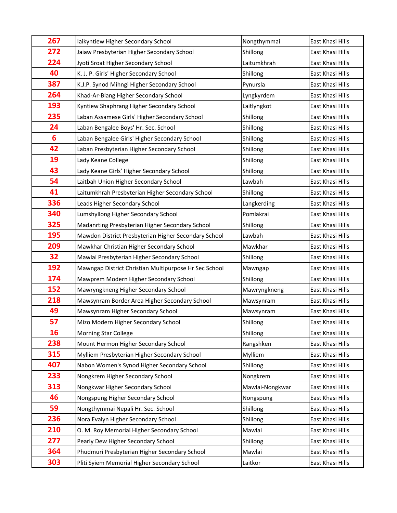| 267            | laikyntiew Higher Secondary School                    | Nongthymmai     | East Khasi Hills |
|----------------|-------------------------------------------------------|-----------------|------------------|
| 272            | Jaiaw Presbyterian Higher Secondary School            | Shillong        | East Khasi Hills |
| 224            | Jyoti Sroat Higher Secondary School                   | Laitumkhrah     | East Khasi Hills |
| 40             | K. J. P. Girls' Higher Secondary School               | Shillong        | East Khasi Hills |
| 387            | K.J.P. Synod Mihngi Higher Secondary School           | Pynursla        | East Khasi Hills |
| 264            | Khad-Ar-Blang Higher Secondary School                 | Lyngkyrdem      | East Khasi Hills |
| 193            | Kyntiew Shaphrang Higher Secondary School             | Laitlyngkot     | East Khasi Hills |
| 235            | Laban Assamese Girls' Higher Secondary School         | Shillong        | East Khasi Hills |
| 24             | Laban Bengalee Boys' Hr. Sec. School                  | Shillong        | East Khasi Hills |
| $6\phantom{1}$ | Laban Bengalee Girls' Higher Secondary School         | Shillong        | East Khasi Hills |
| 42             | Laban Presbyterian Higher Secondary School            | Shillong        | East Khasi Hills |
| 19             | Lady Keane College                                    | Shillong        | East Khasi Hills |
| 43             | Lady Keane Girls' Higher Secondary School             | Shillong        | East Khasi Hills |
| 54             | Laitbah Union Higher Secondary School                 | Lawbah          | East Khasi Hills |
| 41             | Laitumkhrah Presbyterian Higher Secondary School      | Shillong        | East Khasi Hills |
| 336            | Leads Higher Secondary School                         | Langkerding     | East Khasi Hills |
| 340            | Lumshyllong Higher Secondary School                   | Pomlakrai       | East Khasi Hills |
| 325            | Madanrting Presbyterian Higher Secondary School       | Shillong        | East Khasi Hills |
| 195            | Mawdon District Presbyterian Higher Secondary School  | Lawbah          | East Khasi Hills |
| 209            | Mawkhar Christian Higher Secondary School             | Mawkhar         | East Khasi Hills |
| 32             | Mawlai Presbyterian Higher Secondary School           | Shillong        | East Khasi Hills |
| 192            | Mawngap District Christian Multipurpose Hr Sec School | Mawngap         | East Khasi Hills |
| 174            | Mawprem Modern Higher Secondary School                | Shillong        | East Khasi Hills |
| 152            | Mawryngkneng Higher Secondary School                  | Mawryngkneng    | East Khasi Hills |
| 218            | Mawsynram Border Area Higher Secondary School         | Mawsynram       | East Khasi Hills |
| 49             | Mawsynram Higher Secondary School                     | Mawsynram       | East Khasi Hills |
| 57             | Mizo Modern Higher Secondary School                   | Shillong        | East Khasi Hills |
| 16             | <b>Morning Star College</b>                           | Shillong        | East Khasi Hills |
| 238            | Mount Hermon Higher Secondary School                  | Rangshken       | East Khasi Hills |
| 315            | Mylliem Presbyterian Higher Secondary School          | Mylliem         | East Khasi Hills |
| 407            | Nabon Women's Synod Higher Secondary School           | Shillong        | East Khasi Hills |
| 233            | Nongkrem Higher Secondary School                      | Nongkrem        | East Khasi Hills |
| 313            | Nongkwar Higher Secondary School                      | Mawlai-Nongkwar | East Khasi Hills |
| 46             | Nongspung Higher Secondary School                     | Nongspung       | East Khasi Hills |
| 59             | Nongthymmai Nepali Hr. Sec. School                    | Shillong        | East Khasi Hills |
| 236            | Nora Evalyn Higher Secondary School                   | Shillong        | East Khasi Hills |
| 210            | O. M. Roy Memorial Higher Secondary School            | Mawlai          | East Khasi Hills |
| 277            | Pearly Dew Higher Secondary School                    | Shillong        | East Khasi Hills |
| 364            | Phudmuri Presbyterian Higher Secondary School         | Mawlai          | East Khasi Hills |
| 303            | Pliti Syiem Memorial Higher Secondary School          | Laitkor         | East Khasi Hills |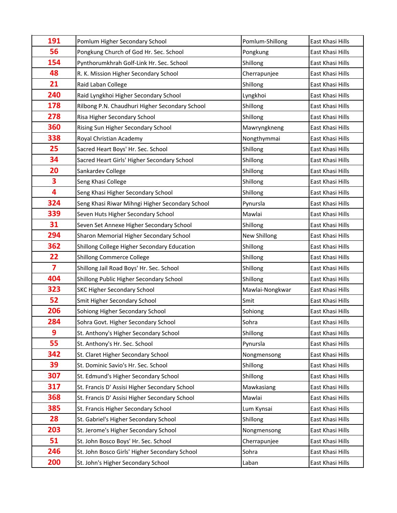| 191                     | Pomlum Higher Secondary School                  | Pomlum-Shillong | East Khasi Hills |
|-------------------------|-------------------------------------------------|-----------------|------------------|
| 56                      | Pongkung Church of God Hr. Sec. School          | Pongkung        | East Khasi Hills |
| 154                     | Pynthorumkhrah Golf-Link Hr. Sec. School        | Shillong        | East Khasi Hills |
| 48                      | R. K. Mission Higher Secondary School           | Cherrapunjee    | East Khasi Hills |
| 21                      | Raid Laban College                              | Shillong        | East Khasi Hills |
| 240                     | Raid Lyngkhoi Higher Secondary School           | Lyngkhoi        | East Khasi Hills |
| 178                     | Rilbong P.N. Chaudhuri Higher Secondary School  | Shillong        | East Khasi Hills |
| 278                     | Risa Higher Secondary School                    | Shillong        | East Khasi Hills |
| 360                     | Rising Sun Higher Secondary School              | Mawryngkneng    | East Khasi Hills |
| 338                     | Royal Christian Academy                         | Nongthymmai     | East Khasi Hills |
| 25                      | Sacred Heart Boys' Hr. Sec. School              | Shillong        | East Khasi Hills |
| 34                      | Sacred Heart Girls' Higher Secondary School     | Shillong        | East Khasi Hills |
| 20                      | Sankardev College                               | Shillong        | East Khasi Hills |
| 3                       | Seng Khasi College                              | Shillong        | East Khasi Hills |
| 4                       | Seng Khasi Higher Secondary School              | Shillong        | East Khasi Hills |
| 324                     | Seng Khasi Riwar Mihngi Higher Secondary School | Pynursla        | East Khasi Hills |
| 339                     | Seven Huts Higher Secondary School              | Mawlai          | East Khasi Hills |
| 31                      | Seven Set Annexe Higher Secondary School        | Shillong        | East Khasi Hills |
| 294                     | Sharon Memorial Higher Secondary School         | New Shillong    | East Khasi Hills |
| 362                     | Shillong College Higher Secondary Education     | Shillong        | East Khasi Hills |
| 22                      | <b>Shillong Commerce College</b>                | Shillong        | East Khasi Hills |
| $\overline{\mathbf{z}}$ | Shillong Jail Road Boys' Hr. Sec. School        | Shillong        | East Khasi Hills |
| 404                     | Shillong Public Higher Secondary School         | Shillong        | East Khasi Hills |
| 323                     | <b>SKC Higher Secondary School</b>              | Mawlai-Nongkwar | East Khasi Hills |
| 52                      | Smit Higher Secondary School                    | Smit            | East Khasi Hills |
| 206                     | Sohiong Higher Secondary School                 | Sohiong         | East Khasi Hills |
| 284                     | Sohra Govt. Higher Secondary School             | Sohra           | East Khasi Hills |
| 9                       | St. Anthony's Higher Secondary School           | Shillong        | East Khasi Hills |
| 55                      | St. Anthony's Hr. Sec. School                   | Pynursla        | East Khasi Hills |
| 342                     | St. Claret Higher Secondary School              | Nongmensong     | East Khasi Hills |
| 39                      | St. Dominic Savio's Hr. Sec. School             | Shillong        | East Khasi Hills |
| 307                     | St. Edmund's Higher Secondary School            | Shillong        | East Khasi Hills |
| 317                     | St. Francis D' Assisi Higher Secondary School   | Mawkasiang      | East Khasi Hills |
| 368                     | St. Francis D' Assisi Higher Secondary School   | Mawlai          | East Khasi Hills |
| 385                     | St. Francis Higher Secondary School             | Lum Kynsai      | East Khasi Hills |
| 28                      | St. Gabriel's Higher Secondary School           | Shillong        | East Khasi Hills |
| 203                     | St. Jerome's Higher Secondary School            | Nongmensong     | East Khasi Hills |
| 51                      | St. John Bosco Boys' Hr. Sec. School            | Cherrapunjee    | East Khasi Hills |
| 246                     | St. John Bosco Girls' Higher Secondary School   | Sohra           | East Khasi Hills |
| 200                     | St. John's Higher Secondary School              | Laban           | East Khasi Hills |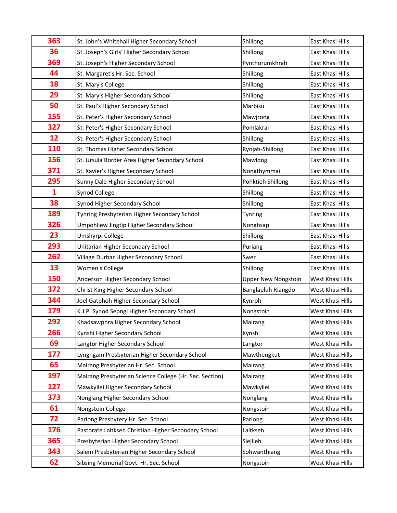| 363          | St. John's Whitehall Higher Secondary School            | Shillong                   | East Khasi Hills |
|--------------|---------------------------------------------------------|----------------------------|------------------|
| 36           | St. Joseph's Girls' Higher Secondary School             | Shillong                   | East Khasi Hills |
| 369          | St. Joseph's Higher Secondary School                    | Pynthorumkhrah             | East Khasi Hills |
| 44           | St. Margaret's Hr. Sec. School                          | Shillong                   | East Khasi Hills |
| 18           | St. Mary's College                                      | Shillong                   | East Khasi Hills |
| 29           | St. Mary's Higher Secondary School                      | Shillong                   | East Khasi Hills |
| 50           | St. Paul's Higher Secondary School                      | Marbisu                    | East Khasi Hills |
| 155          | St. Peter's Higher Secondary School                     | Mawjrong                   | East Khasi Hills |
| 327          | St. Peter's Higher Secondary School                     | Pomlakrai                  | East Khasi Hills |
| 12           | St. Peter's Higher Secondary School                     | Shillong                   | East Khasi Hills |
| 110          | St. Thomas Higher Secondary School                      | Rynjah-Shillong            | East Khasi Hills |
| 156          | St. Ursula Border Area Higher Secondary School          | Mawlong                    | East Khasi Hills |
| 371          | St. Xavier's Higher Secondary School                    | Nongthymmai                | East Khasi Hills |
| 295          | Sunny Dale Higher Secondary School                      | Pohktieh Shillong          | East Khasi Hills |
| $\mathbf{1}$ | Synod College                                           | Shillong                   | East Khasi Hills |
| 38           | Synod Higher Secondary School                           | Shillong                   | East Khasi Hills |
| 189          | Tynring Presbyterian Higher Secondary School            | Tynring                    | East Khasi Hills |
| 326          | Umpohliew Jingtip Higher Secondary School               | Nongbsap                   | East Khasi Hills |
| 23           | Umshyrpi College                                        | Shillong                   | East Khasi Hills |
| 293          | Unitarian Higher Secondary School                       | Puriang                    | East Khasi Hills |
| 262          | Village Durbar Higher Secondary School                  | Swer                       | East Khasi Hills |
| 13           | Women's College                                         | Shillong                   | East Khasi Hills |
| 150          | Anderson Higher Secondary School                        | <b>Upper New Nongstoin</b> | West Khasi Hills |
| 372          | Christ King Higher Secondary School                     | Banglapluh Riangdo         | West Khasi Hills |
| 344          | Joel Gatphoh Higher Secondary School                    | Kynroh                     | West Khasi Hills |
| 179          | K.J.P. Synod Sepngi Higher Secondary School             | Nongstoin                  | West Khasi Hills |
| 292          | Khadsawphra Higher Secondary School                     | Mairang                    | West Khasi Hills |
| 266          | Kynshi Higher Secondary School                          | Kynshi                     | West Khasi Hills |
| 69           | Langtor Higher Secondary School                         | Langtor                    | West Khasi Hills |
| 177          | Lyngngam Presbyterian Higher Secondary School           | Mawthengkut                | West Khasi Hills |
| 65           | Mairang Presbyterian Hr. Sec. School                    | Mairang                    | West Khasi Hills |
| 197          | Mairang Presbyterian Science College (Hr. Sec. Section) | Mairang                    | West Khasi Hills |
| 127          | Mawkyllei Higher Secondary School                       | Mawkyllei                  | West Khasi Hills |
| 373          | Nonglang Higher Secondary School                        | Nonglang                   | West Khasi Hills |
| 61           | Nongstoin College                                       | Nongstoin                  | West Khasi Hills |
| 72           | Pariong Presbytery Hr. Sec. School                      | Pariong                    | West Khasi Hills |
| 176          | Pastorate Laitkseh Christian Higher Secondary School    | Laitkseh                   | West Khasi Hills |
| 365          | Presbyterian Higher Secondary School                    | Siejlieh                   | West Khasi Hills |
| 343          | Salem Presbyterian Higher Secondary School              | Sohwanthiang               | West Khasi Hills |
| 62           | Sibsing Memorial Govt. Hr. Sec. School                  | Nongstoin                  | West Khasi Hills |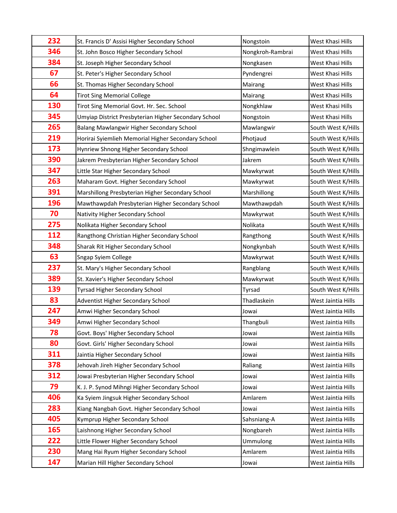| 232 | St. Francis D' Assisi Higher Secondary School        | Nongstoin        | West Khasi Hills   |
|-----|------------------------------------------------------|------------------|--------------------|
| 346 | St. John Bosco Higher Secondary School               | Nongkroh-Rambrai | West Khasi Hills   |
| 384 | St. Joseph Higher Secondary School                   | Nongkasen        | West Khasi Hills   |
| 67  | St. Peter's Higher Secondary School                  | Pyndengrei       | West Khasi Hills   |
| 66  | St. Thomas Higher Secondary School                   | Mairang          | West Khasi Hills   |
| 64  | <b>Tirot Sing Memorial College</b>                   | Mairang          | West Khasi Hills   |
| 130 | Tirot Sing Memorial Govt. Hr. Sec. School            | Nongkhlaw        | West Khasi Hills   |
| 345 | Umyiap District Presbyterian Higher Secondary School | Nongstoin        | West Khasi Hills   |
| 265 | Balang Mawlangwir Higher Secondary School            | Mawlangwir       | South West K/Hills |
| 219 | Horirai Syiemlieh Memorial Higher Secondary School   | Photjaud         | South West K/Hills |
| 173 | Hynriew Shnong Higher Secondary School               | Shngimawlein     | South West K/Hills |
| 390 | Jakrem Presbyterian Higher Secondary School          | Jakrem           | South West K/Hills |
| 347 | Little Star Higher Secondary School                  | Mawkyrwat        | South West K/Hills |
| 263 | Maharam Govt. Higher Secondary School                | Mawkyrwat        | South West K/Hills |
| 391 | Marshillong Presbyterian Higher Secondary School     | Marshillong      | South West K/Hills |
| 196 | Mawthawpdah Presbyterian Higher Secondary School     | Mawthawpdah      | South West K/Hills |
| 70  | Nativity Higher Secondary School                     | Mawkyrwat        | South West K/Hills |
| 275 | Nolikata Higher Secondary School                     | Nolikata         | South West K/Hills |
| 112 | Rangthong Christian Higher Secondary School          | Rangthong        | South West K/Hills |
| 348 | Sharak Rit Higher Secondary School                   | Nongkynbah       | South West K/Hills |
| 63  | Sngap Syiem College                                  | Mawkyrwat        | South West K/Hills |
| 237 | St. Mary's Higher Secondary School                   | Rangblang        | South West K/Hills |
| 389 | St. Xavier's Higher Secondary School                 | Mawkyrwat        | South West K/Hills |
| 139 | Tyrsad Higher Secondary School                       | Tyrsad           | South West K/Hills |
| 83  | Adventist Higher Secondary School                    | Thadlaskein      | West Jaintia Hills |
| 247 | Amwi Higher Secondary School                         | Jowai            | West Jaintia Hills |
| 349 | Amwi Higher Secondary School                         | Thangbuli        | West Jaintia Hills |
| 78  | Govt. Boys' Higher Secondary School                  | Jowai            | West Jaintia Hills |
| 80  | Govt. Girls' Higher Secondary School                 | Jowai            | West Jaintia Hills |
| 311 | Jaintia Higher Secondary School                      | Jowai            | West Jaintia Hills |
| 378 | Jehovah Jireh Higher Secondary School                | Raliang          | West Jaintia Hills |
| 312 | Jowai Presbyterian Higher Secondary School           | Jowai            | West Jaintia Hills |
| 79  | K. J. P. Synod Mihngi Higher Secondary School        | Jowai            | West Jaintia Hills |
| 406 | Ka Syiem Jingsuk Higher Secondary School             | Amlarem          | West Jaintia Hills |
| 283 | Kiang Nangbah Govt. Higher Secondary School          | Jowai            | West Jaintia Hills |
| 405 | Kymprup Higher Secondary School                      | Sahsniang-A      | West Jaintia Hills |
| 165 | Laishnong Higher Secondary School                    | Nongbareh        | West Jaintia Hills |
| 222 | Little Flower Higher Secondary School                | Ummulong         | West Jaintia Hills |
| 230 | Mang Hai Ryum Higher Secondary School                | Amlarem          | West Jaintia Hills |
| 147 | Marian Hill Higher Secondary School                  | Jowai            | West Jaintia Hills |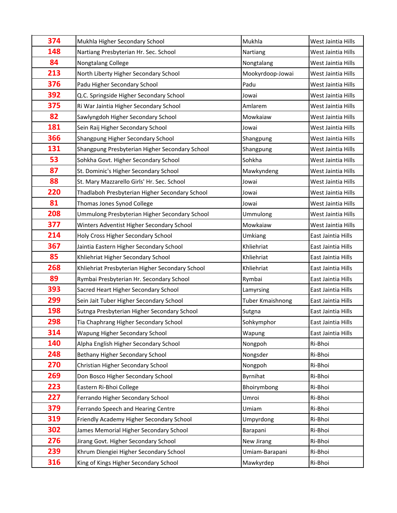| 374 | Mukhla Higher Secondary School                  | Mukhla           | West Jaintia Hills |
|-----|-------------------------------------------------|------------------|--------------------|
| 148 | Nartiang Presbyterian Hr. Sec. School           | Nartiang         | West Jaintia Hills |
| 84  | Nongtalang College                              | Nongtalang       | West Jaintia Hills |
| 213 | North Liberty Higher Secondary School           | Mookyrdoop-Jowai | West Jaintia Hills |
| 376 | Padu Higher Secondary School                    | Padu             | West Jaintia Hills |
| 392 | Q.C. Springside Higher Secondary School         | Jowai            | West Jaintia Hills |
| 375 | Ri War Jaintia Higher Secondary School          | Amlarem          | West Jaintia Hills |
| 82  | Sawlyngdoh Higher Secondary School              | Mowkaiaw         | West Jaintia Hills |
| 181 | Sein Raij Higher Secondary School               | Jowai            | West Jaintia Hills |
| 366 | Shangpung Higher Secondary School               | Shangpung        | West Jaintia Hills |
| 131 | Shangpung Presbyterian Higher Secondary School  | Shangpung        | West Jaintia Hills |
| 53  | Sohkha Govt. Higher Secondary School            | Sohkha           | West Jaintia Hills |
| 87  | St. Dominic's Higher Secondary School           | Mawkyndeng       | West Jaintia Hills |
| 88  | St. Mary Mazzarello Girls' Hr. Sec. School      | Jowai            | West Jaintia Hills |
| 220 | Thadlaboh Presbyterian Higher Secondary School  | Jowai            | West Jaintia Hills |
| 81  | Thomas Jones Synod College                      | Jowai            | West Jaintia Hills |
| 208 | Ummulong Presbyterian Higher Secondary School   | Ummulong         | West Jaintia Hills |
| 377 | Winters Adventist Higher Secondary School       | Mowkaiaw         | West Jaintia Hills |
| 214 | Holy Cross Higher Secondary School              | Umkiang          | East Jaintia Hills |
| 367 | Jaintia Eastern Higher Secondary School         | Khliehriat       | East Jaintia Hills |
| 85  | Khliehriat Higher Secondary School              | Khliehriat       | East Jaintia Hills |
| 268 | Khliehriat Presbyterian Higher Secondary School | Khliehriat       | East Jaintia Hills |
| 89  | Rymbai Presbyterian Hr. Secondary School        | Rymbai           | East Jaintia Hills |
| 393 | Sacred Heart Higher Secondary School            | Lamyrsing        | East Jaintia Hills |
| 299 | Sein Jait Tuber Higher Secondary School         | Tuber Kmaishnong | East Jaintia Hills |
| 198 | Sutnga Presbyterian Higher Secondary School     | Sutgna           | East Jaintia Hills |
| 298 | Tia Chaphrang Higher Secondary School           | Sohkymphor       | East Jaintia Hills |
| 314 | Wapung Higher Secondary School                  | Wapung           | East Jaintia Hills |
| 140 | Alpha English Higher Secondary School           | Nongpoh          | Ri-Bhoi            |
| 248 | Bethany Higher Secondary School                 | Nongsder         | Ri-Bhoi            |
| 270 | Christian Higher Secondary School               | Nongpoh          | Ri-Bhoi            |
| 269 | Don Bosco Higher Secondary School               | Byrnihat         | Ri-Bhoi            |
| 223 | Eastern Ri-Bhoi College                         | Bhoirymbong      | Ri-Bhoi            |
| 227 | Ferrando Higher Secondary School                | Umroi            | Ri-Bhoi            |
| 379 | Ferrando Speech and Hearing Centre              | Umiam            | Ri-Bhoi            |
| 319 | Friendly Academy Higher Secondary School        | Umpyrdong        | Ri-Bhoi            |
| 302 | James Memorial Higher Secondary School          | Barapani         | Ri-Bhoi            |
| 276 | Jirang Govt. Higher Secondary School            | New Jirang       | Ri-Bhoi            |
| 239 | Khrum Diengiei Higher Secondary School          | Umiam-Barapani   | Ri-Bhoi            |
| 316 | King of Kings Higher Secondary School           | Mawkyrdep        | Ri-Bhoi            |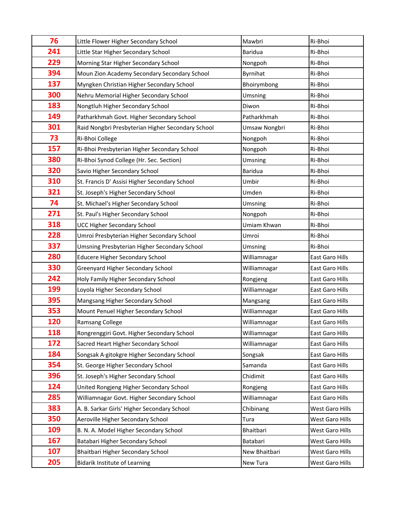| 76         | Little Flower Higher Secondary School             | Mawbri         | Ri-Bhoi                |
|------------|---------------------------------------------------|----------------|------------------------|
| 241        | Little Star Higher Secondary School               | <b>Baridua</b> | Ri-Bhoi                |
| 229        | Morning Star Higher Secondary School              | Nongpoh        | Ri-Bhoi                |
| 394        | Moun Zion Academy Secondary Secondary School      | Byrnihat       | Ri-Bhoi                |
| 137        | Myngken Christian Higher Secondary School         | Bhoirymbong    | Ri-Bhoi                |
| 300        | Nehru Memorial Higher Secondary School            | Umsning        | Ri-Bhoi                |
| 183        | Nongtluh Higher Secondary School                  | Diwon          | Ri-Bhoi                |
| 149        | Patharkhmah Govt. Higher Secondary School         | Patharkhmah    | Ri-Bhoi                |
| 301        | Raid Nongbri Presbyterian Higher Secondary School | Umsaw Nongbri  | Ri-Bhoi                |
| 73         | Ri-Bhoi College                                   | Nongpoh        | Ri-Bhoi                |
| 157        | Ri-Bhoi Presbyterian Higher Secondary School      | Nongpoh        | Ri-Bhoi                |
| 380        | Ri-Bhoi Synod College (Hr. Sec. Section)          | Umsning        | Ri-Bhoi                |
| 320        | Savio Higher Secondary School                     | <b>Baridua</b> | Ri-Bhoi                |
| 310        | St. Francis D' Assisi Higher Secondary School     | Umbir          | Ri-Bhoi                |
| 321        | St. Joseph's Higher Secondary School              | Umden          | Ri-Bhoi                |
| 74         | St. Michael's Higher Secondary School             | Umsning        | Ri-Bhoi                |
| 271        | St. Paul's Higher Secondary School                | Nongpoh        | Ri-Bhoi                |
| 318        | <b>UCC Higher Secondary School</b>                | Umiam Khwan    | Ri-Bhoi                |
| 228        | Umroi Presbyterian Higher Secondary School        | Umroi          | Ri-Bhoi                |
| 337        | Umsning Presbyterian Higher Secondary School      | Umsning        | Ri-Bhoi                |
| 280        | <b>Educere Higher Secondary School</b>            | Williamnagar   | East Garo Hills        |
| 330        | <b>Greenyard Higher Secondary School</b>          | Williamnagar   | East Garo Hills        |
| 242        | Holy Family Higher Secondary School               | Rongjeng       | East Garo Hills        |
| 199        | Loyola Higher Secondary School                    | Williamnagar   | <b>East Garo Hills</b> |
| 395        | Mangsang Higher Secondary School                  | Mangsang       | East Garo Hills        |
| 353        | Mount Penuel Higher Secondary School              | Williamnagar   | East Garo Hills        |
| 120        | Ramsang College                                   | Williamnagar   | <b>East Garo Hills</b> |
| 118        | Rongrenggiri Govt. Higher Secondary School        | Williamnagar   | East Garo Hills        |
| 172        | Sacred Heart Higher Secondary School              | Williamnagar   | East Garo Hills        |
| 184        | Songsak A-gitokgre Higher Secondary School        | Songsak        | East Garo Hills        |
| 354        | St. George Higher Secondary School                | Samanda        | East Garo Hills        |
| 396        | St. Joseph's Higher Secondary School              | Chidimit       | East Garo Hills        |
| 124        | United Rongjeng Higher Secondary School           | Rongjeng       | East Garo Hills        |
| 285        | Williamnagar Govt. Higher Secondary School        | Williamnagar   | East Garo Hills        |
| 383        | A. B. Sarkar Girls' Higher Secondary School       | Chibinang      | West Garo Hills        |
| 350        | Aeroville Higher Secondary School                 | Tura           | West Garo Hills        |
| <b>109</b> | B. N. A. Model Higher Secondary School            | Bhaitbari      | West Garo Hills        |
| 167        | Batabari Higher Secondary School                  | Batabari       | West Garo Hills        |
| 107        | Bhaitbari Higher Secondary School                 | New Bhaitbari  | West Garo Hills        |
| 205        | <b>Bidarik Institute of Learning</b>              | New Tura       | West Garo Hills        |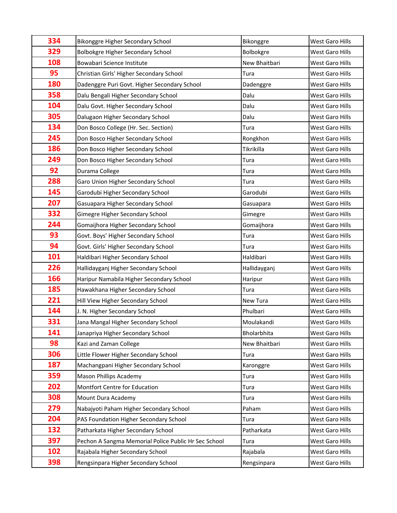| 334 | Bikonggre Higher Secondary School                    | Bikonggre     | West Garo Hills        |
|-----|------------------------------------------------------|---------------|------------------------|
| 329 | Bolbokgre Higher Secondary School                    | Bolbokgre     | West Garo Hills        |
| 108 | Bowabari Science Institute                           | New Bhaitbari | West Garo Hills        |
| 95  | Christian Girls' Higher Secondary School             | Tura          | West Garo Hills        |
| 180 | Dadenggre Puri Govt. Higher Secondary School         | Dadenggre     | West Garo Hills        |
| 358 | Dalu Bengali Higher Secondary School                 | Dalu          | West Garo Hills        |
| 104 | Dalu Govt. Higher Secondary School                   | Dalu          | West Garo Hills        |
| 305 | Dalugaon Higher Secondary School                     | Dalu          | West Garo Hills        |
| 134 | Don Bosco College (Hr. Sec. Section)                 | Tura          | West Garo Hills        |
| 245 | Don Bosco Higher Secondary School                    | Rongkhon      | West Garo Hills        |
| 186 | Don Bosco Higher Secondary School                    | Tikrikilla    | West Garo Hills        |
| 249 | Don Bosco Higher Secondary School                    | Tura          | West Garo Hills        |
| 92  | Durama College                                       | Tura          | West Garo Hills        |
| 288 | Garo Union Higher Secondary School                   | Tura          | West Garo Hills        |
| 145 | Garodubi Higher Secondary School                     | Garodubi      | West Garo Hills        |
| 207 | Gasuapara Higher Secondary School                    | Gasuapara     | West Garo Hills        |
| 332 | Gimegre Higher Secondary School                      | Gimegre       | West Garo Hills        |
| 244 | Gomaijhora Higher Secondary School                   | Gomaijhora    | West Garo Hills        |
| 93  | Govt. Boys' Higher Secondary School                  | Tura          | West Garo Hills        |
| 94  | Govt. Girls' Higher Secondary School                 | Tura          | West Garo Hills        |
| 101 | Haldibari Higher Secondary School                    | Haldibari     | West Garo Hills        |
| 226 | Hallidayganj Higher Secondary School                 | Hallidayganj  | West Garo Hills        |
| 166 | Haripur Namabila Higher Secondary School             | Haripur       | West Garo Hills        |
| 185 | Hawakhana Higher Secondary School                    | Tura          | <b>West Garo Hills</b> |
| 221 | Hill View Higher Secondary School                    | New Tura      | West Garo Hills        |
| 144 | J. N. Higher Secondary School                        | Phulbari      | West Garo Hills        |
| 331 | Jana Mangal Higher Secondary School                  | Moulakandi    | West Garo Hills        |
| 141 | Janapriya Higher Secondary School                    | Bholarbhita   | West Garo Hills        |
| 98  | Kazi and Zaman College                               | New Bhaitbari | West Garo Hills        |
| 306 | Little Flower Higher Secondary School                | Tura          | West Garo Hills        |
| 187 | Machangpani Higher Secondary School                  | Karonggre     | West Garo Hills        |
| 359 | <b>Mason Phillips Academy</b>                        | Tura          | West Garo Hills        |
| 202 | Montfort Centre for Education                        | Tura          | West Garo Hills        |
| 308 | Mount Dura Academy                                   | Tura          | West Garo Hills        |
| 279 | Nabajyoti Paham Higher Secondary School              | Paham         | West Garo Hills        |
| 204 | PAS Foundation Higher Secondary School               | Tura          | West Garo Hills        |
| 132 | Patharkata Higher Secondary School                   | Patharkata    | West Garo Hills        |
| 397 | Pechon A Sangma Memorial Police Public Hr Sec School | Tura          | West Garo Hills        |
| 102 | Rajabala Higher Secondary School                     | Rajabala      | West Garo Hills        |
| 398 | Rengsinpara Higher Secondary School                  | Rengsinpara   | West Garo Hills        |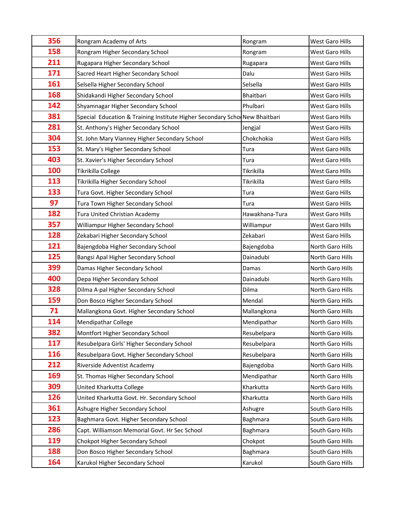| 356 | Rongram Academy of Arts                                                    | Rongram        | West Garo Hills  |
|-----|----------------------------------------------------------------------------|----------------|------------------|
| 158 | Rongram Higher Secondary School                                            | Rongram        | West Garo Hills  |
| 211 | Rugapara Higher Secondary School                                           | Rugapara       | West Garo Hills  |
| 171 | Sacred Heart Higher Secondary School                                       | Dalu           | West Garo Hills  |
| 161 | Selsella Higher Secondary School                                           | Selsella       | West Garo Hills  |
| 168 | Shidakandi Higher Secondary School                                         | Bhaitbari      | West Garo Hills  |
| 142 | Shyamnagar Higher Secondary School                                         | Phulbari       | West Garo Hills  |
| 381 | Special Education & Training Institute Higher Secondary Scho New Bhaitbari |                | West Garo Hills  |
| 281 | St. Anthony's Higher Secondary School                                      | Jengjal        | West Garo Hills  |
| 304 | St. John Mary Vianney Higher Secondary School                              | Chokchokia     | West Garo Hills  |
| 153 | St. Mary's Higher Secondary School                                         | Tura           | West Garo Hills  |
| 403 | St. Xavier's Higher Secondary School                                       | Tura           | West Garo Hills  |
| 100 | Tikrikilla College                                                         | Tikrikilla     | West Garo Hills  |
| 113 | Tikrikilla Higher Secondary School                                         | Tikrikilla     | West Garo Hills  |
| 133 | Tura Govt. Higher Secondary School                                         | Tura           | West Garo Hills  |
| 97  | Tura Town Higher Secondary School                                          | Tura           | West Garo Hills  |
| 182 | Tura United Christian Academy                                              | Hawakhana-Tura | West Garo Hills  |
| 357 | Williampur Higher Secondary School                                         | Williampur     | West Garo Hills  |
| 128 | Zekabari Higher Secondary School                                           | Zekabari       | West Garo Hills  |
| 121 | Bajengdoba Higher Secondary School                                         | Bajengdoba     | North Garo Hills |
| 125 | Bangsi Apal Higher Secondary School                                        | Dainadubi      | North Garo Hills |
| 399 | Damas Higher Secondary School                                              | Damas          | North Garo Hills |
| 400 | Depa Higher Secondary School                                               | Dainadubi      | North Garo Hills |
| 328 | Dilma A·pal Higher Secondary School                                        | Dilma          | North Garo Hills |
| 159 | Don Bosco Higher Secondary School                                          | Mendal         | North Garo Hills |
| 71  | Mallangkona Govt. Higher Secondary School                                  | Mallangkona    | North Garo Hills |
| 114 | <b>Mendipathar College</b>                                                 | Mendipathar    | North Garo Hills |
| 382 | Montfort Higher Secondary School                                           | Resubelpara    | North Garo Hills |
| 117 | Resubelpara Girls' Higher Secondary School                                 | Resubelpara    | North Garo Hills |
| 116 | Resubelpara Govt. Higher Secondary School                                  | Resubelpara    | North Garo Hills |
| 212 | Riverside Adventist Academy                                                | Bajengdoba     | North Garo Hills |
| 169 | St. Thomas Higher Secondary School                                         | Mendipathar    | North Garo Hills |
| 309 | United Kharkutta College                                                   | Kharkutta      | North Garo Hills |
| 126 | United Kharkutta Govt. Hr. Secondary School                                | Kharkutta      | North Garo Hills |
| 361 | Ashugre Higher Secondary School                                            | Ashugre        | South Garo Hills |
| 123 | Baghmara Govt. Higher Secondary School                                     | Baghmara       | South Garo Hills |
| 286 | Capt. Williamson Memorial Govt. Hr Sec School                              | Baghmara       | South Garo Hills |
| 119 | Chokpot Higher Secondary School                                            | Chokpot        | South Garo Hills |
| 188 | Don Bosco Higher Secondary School                                          | Baghmara       | South Garo Hills |
| 164 | Karukol Higher Secondary School                                            | Karukol        | South Garo Hills |